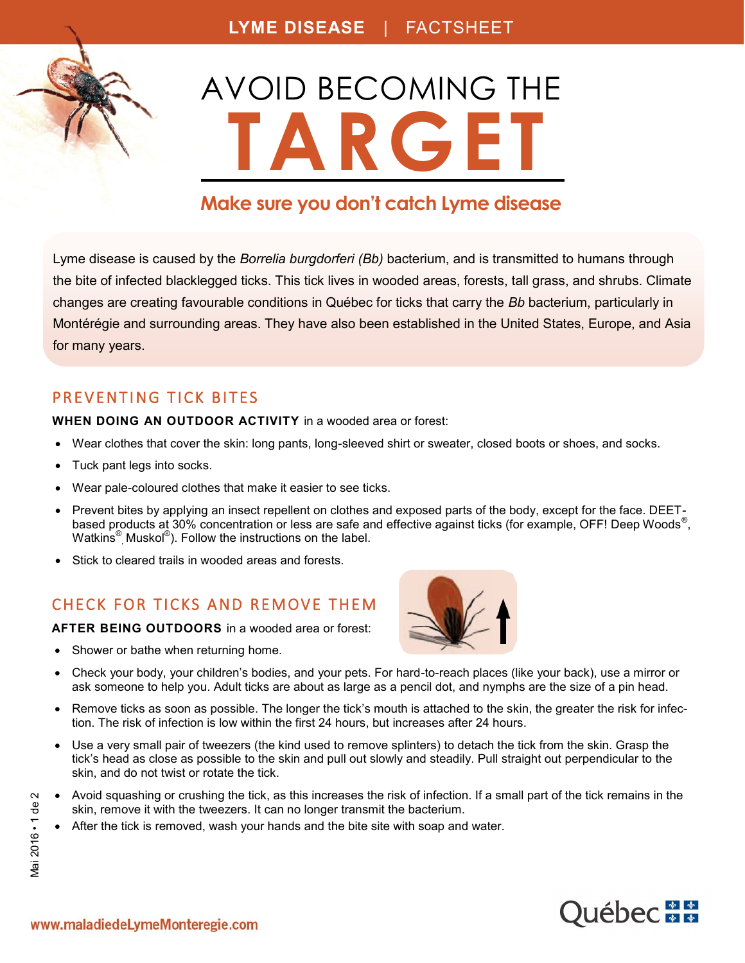

# **Make sure you don't catch Lyme disease**

Lyme disease is caused by the *Borrelia burgdorferi (Bb)* bacterium, and is transmitted to humans through the bite of infected blacklegged ticks. This tick lives in wooded areas, forests, tall grass, and shrubs. Climate changes are creating favourable conditions in Québec for ticks that carry the *Bb* bacterium, particularly in Montérégie and surrounding areas. They have also been established in the United States, Europe, and Asia for many years.

#### PREVENTING TICK BITES

**WHEN DOING AN OUTDOOR ACTIVITY** in a wooded area or forest:

- Wear clothes that cover the skin: long pants, long-sleeved shirt or sweater, closed boots or shoes, and socks.
- Tuck pant legs into socks.
- Wear pale-coloured clothes that make it easier to see ticks.
- Prevent bites by applying an insect repellent on clothes and exposed parts of the body, except for the face. DEETbased products at 30% concentration or less are safe and effective against ticks (for example, OFF! Deep Woods<sup>®</sup>, Watkins<sup>®</sup>, Muskol<sup>®</sup>). Follow the instructions on the label.
- Stick to cleared trails in wooded areas and forests.

### CHECK FOR TICKS AND REMOVE THEM

**AFTER BEING OUTDOORS** in a wooded area or forest:

• Shower or bathe when returning home.



- Check your body, your children's bodies, and your pets. For hard-to-reach places (like your back), use a mirror or ask someone to help you. Adult ticks are about as large as a pencil dot, and nymphs are the size of a pin head.
- Remove ticks as soon as possible. The longer the tick's mouth is attached to the skin, the greater the risk for infection. The risk of infection is low within the first 24 hours, but increases after 24 hours.
- Use a very small pair of tweezers (the kind used to remove splinters) to detach the tick from the skin. Grasp the tick's head as close as possible to the skin and pull out slowly and steadily. Pull straight out perpendicular to the skin, and do not twist or rotate the tick.
- Avoid squashing or crushing the tick, as this increases the risk of infection. If a small part of the tick remains in the skin, remove it with the tweezers. It can no longer transmit the bacterium.
- After the tick is removed, wash your hands and the bite site with soap and water.